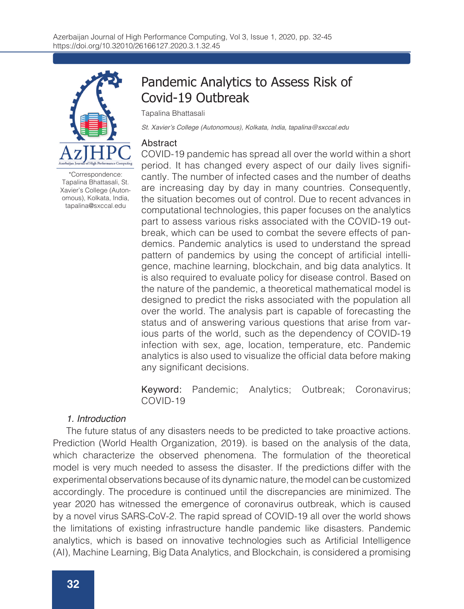

\*Correspondence: Tapalina Bhattasali, St. Xavier's College (Autonomous), Kolkata, India, tapalina@sxccal.edu

# Pandemic Analytics to Assess Risk of Covid-19 Outbreak

Tapalina Bhattasali

St. Xavier's College (Autonomous), Kolkata, India, tapalina@sxccal.edu

## Abstract

COVID-19 pandemic has spread all over the world within a short period. It has changed every aspect of our daily lives significantly. The number of infected cases and the number of deaths are increasing day by day in many countries. Consequently, the situation becomes out of control. Due to recent advances in computational technologies, this paper focuses on the analytics part to assess various risks associated with the COVID-19 outbreak, which can be used to combat the severe effects of pandemics. Pandemic analytics is used to understand the spread pattern of pandemics by using the concept of artificial intelligence, machine learning, blockchain, and big data analytics. It is also required to evaluate policy for disease control. Based on the nature of the pandemic, a theoretical mathematical model is designed to predict the risks associated with the population all over the world. The analysis part is capable of forecasting the status and of answering various questions that arise from various parts of the world, such as the dependency of COVID-19 infection with sex, age, location, temperature, etc. Pandemic analytics is also used to visualize the official data before making any significant decisions.

Keyword: Pandemic; Analytics; Outbreak; Coronavirus; COVID-19

# 1. Introduction

The future status of any disasters needs to be predicted to take proactive actions. Prediction (World Health Organization, 2019). is based on the analysis of the data, which characterize the observed phenomena. The formulation of the theoretical model is very much needed to assess the disaster. If the predictions differ with the experimental observations because of its dynamic nature, the model can be customized accordingly. The procedure is continued until the discrepancies are minimized. The year 2020 has witnessed the emergence of coronavirus outbreak, which is caused by a novel virus SARS-CoV-2. The rapid spread of COVID-19 all over the world shows the limitations of existing infrastructure handle pandemic like disasters. Pandemic analytics, which is based on innovative technologies such as Artificial Intelligence (AI), Machine Learning, Big Data Analytics, and Blockchain, is considered a promising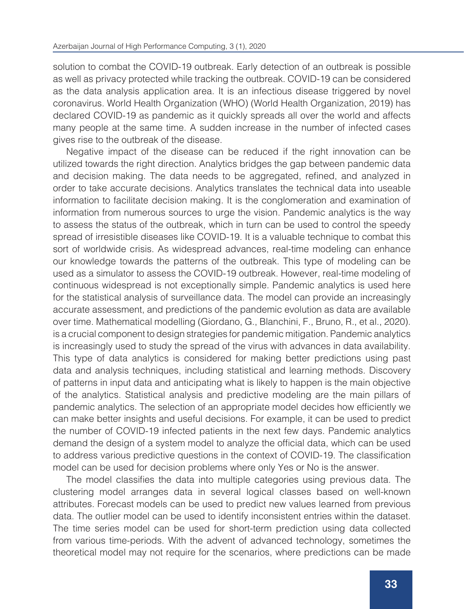solution to combat the COVID-19 outbreak. Early detection of an outbreak is possible as well as privacy protected while tracking the outbreak. COVID-19 can be considered as the data analysis application area. It is an infectious disease triggered by novel coronavirus. World Health Organization (WHO) (World Health Organization, 2019) has declared COVID-19 as pandemic as it quickly spreads all over the world and affects many people at the same time. A sudden increase in the number of infected cases gives rise to the outbreak of the disease.

Negative impact of the disease can be reduced if the right innovation can be utilized towards the right direction. Analytics bridges the gap between pandemic data and decision making. The data needs to be aggregated, refined, and analyzed in order to take accurate decisions. Analytics translates the technical data into useable information to facilitate decision making. It is the conglomeration and examination of information from numerous sources to urge the vision. Pandemic analytics is the way to assess the status of the outbreak, which in turn can be used to control the speedy spread of irresistible diseases like COVID-19. It is a valuable technique to combat this sort of worldwide crisis. As widespread advances, real-time modeling can enhance our knowledge towards the patterns of the outbreak. This type of modeling can be used as a simulator to assess the COVID-19 outbreak. However, real-time modeling of continuous widespread is not exceptionally simple. Pandemic analytics is used here for the statistical analysis of surveillance data. The model can provide an increasingly accurate assessment, and predictions of the pandemic evolution as data are available over time. Mathematical modelling (Giordano, G., Blanchini, F., Bruno, R., et al., 2020). is a crucial component to design strategies for pandemic mitigation. Pandemic analytics is increasingly used to study the spread of the virus with advances in data availability. This type of data analytics is considered for making better predictions using past data and analysis techniques, including statistical and learning methods. Discovery of patterns in input data and anticipating what is likely to happen is the main objective of the analytics. Statistical analysis and predictive modeling are the main pillars of pandemic analytics. The selection of an appropriate model decides how efficiently we can make better insights and useful decisions. For example, it can be used to predict the number of COVID-19 infected patients in the next few days. Pandemic analytics demand the design of a system model to analyze the official data, which can be used to address various predictive questions in the context of COVID-19. The classification model can be used for decision problems where only Yes or No is the answer.

The model classifies the data into multiple categories using previous data. The clustering model arranges data in several logical classes based on well-known attributes. Forecast models can be used to predict new values learned from previous data. The outlier model can be used to identify inconsistent entries within the dataset. The time series model can be used for short-term prediction using data collected from various time-periods. With the advent of advanced technology, sometimes the theoretical model may not require for the scenarios, where predictions can be made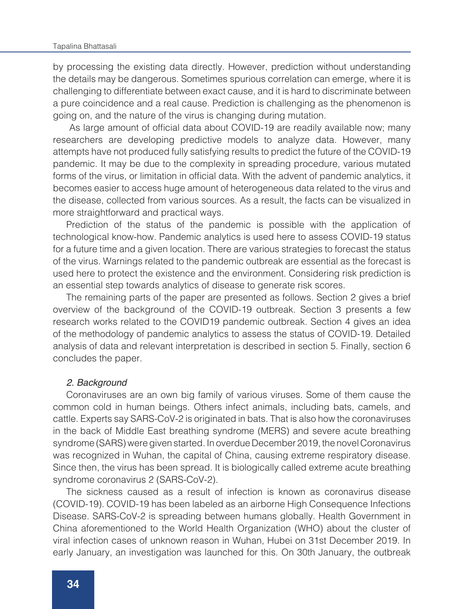#### Tapalina Bhattasali

by processing the existing data directly. However, prediction without understanding the details may be dangerous. Sometimes spurious correlation can emerge, where it is challenging to differentiate between exact cause, and it is hard to discriminate between a pure coincidence and a real cause. Prediction is challenging as the phenomenon is going on, and the nature of the virus is changing during mutation.

 As large amount of official data about COVID-19 are readily available now; many researchers are developing predictive models to analyze data. However, many attempts have not produced fully satisfying results to predict the future of the COVID-19 pandemic. It may be due to the complexity in spreading procedure, various mutated forms of the virus, or limitation in official data. With the advent of pandemic analytics, it becomes easier to access huge amount of heterogeneous data related to the virus and the disease, collected from various sources. As a result, the facts can be visualized in more straightforward and practical ways.

Prediction of the status of the pandemic is possible with the application of technological know-how. Pandemic analytics is used here to assess COVID-19 status for a future time and a given location. There are various strategies to forecast the status of the virus. Warnings related to the pandemic outbreak are essential as the forecast is used here to protect the existence and the environment. Considering risk prediction is an essential step towards analytics of disease to generate risk scores.

The remaining parts of the paper are presented as follows. Section 2 gives a brief overview of the background of the COVID-19 outbreak. Section 3 presents a few research works related to the COVID19 pandemic outbreak. Section 4 gives an idea of the methodology of pandemic analytics to assess the status of COVID-19. Detailed analysis of data and relevant interpretation is described in section 5. Finally, section 6 concludes the paper.

#### 2. Background

Coronaviruses are an own big family of various viruses. Some of them cause the common cold in human beings. Others infect animals, including bats, camels, and cattle. Experts say SARS-CoV-2 is originated in bats. That is also how the coronaviruses in the back of Middle East breathing syndrome (MERS) and severe acute breathing syndrome (SARS) were given started. In overdue December 2019, the novel Coronavirus was recognized in Wuhan, the capital of China, causing extreme respiratory disease. Since then, the virus has been spread. It is biologically called extreme acute breathing syndrome coronavirus 2 (SARS-CoV-2).

The sickness caused as a result of infection is known as coronavirus disease (COVID-19). COVID-19 has been labeled as an airborne High Consequence Infections Disease. SARS-CoV-2 is spreading between humans globally. Health Government in China aforementioned to the World Health Organization (WHO) about the cluster of viral infection cases of unknown reason in Wuhan, Hubei on 31st December 2019. In early January, an investigation was launched for this. On 30th January, the outbreak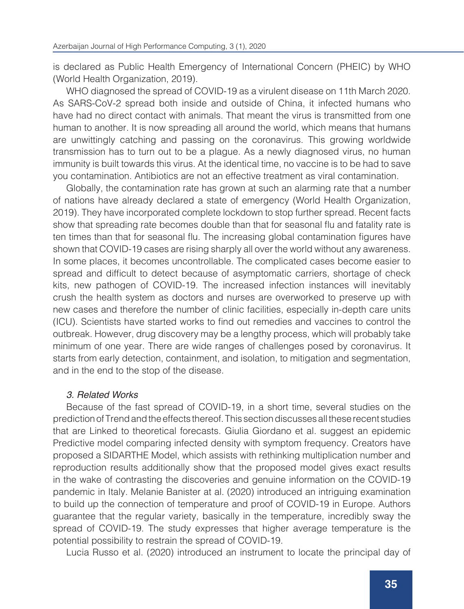is declared as Public Health Emergency of International Concern (PHEIC) by WHO (World Health Organization, 2019).

WHO diagnosed the spread of COVID-19 as a virulent disease on 11th March 2020. As SARS-CoV-2 spread both inside and outside of China, it infected humans who have had no direct contact with animals. That meant the virus is transmitted from one human to another. It is now spreading all around the world, which means that humans are unwittingly catching and passing on the coronavirus. This growing worldwide transmission has to turn out to be a plague. As a newly diagnosed virus, no human immunity is built towards this virus. At the identical time, no vaccine is to be had to save you contamination. Antibiotics are not an effective treatment as viral contamination.

Globally, the contamination rate has grown at such an alarming rate that a number of nations have already declared a state of emergency (World Health Organization, 2019). They have incorporated complete lockdown to stop further spread. Recent facts show that spreading rate becomes double than that for seasonal flu and fatality rate is ten times than that for seasonal flu. The increasing global contamination figures have shown that COVID-19 cases are rising sharply all over the world without any awareness. In some places, it becomes uncontrollable. The complicated cases become easier to spread and difficult to detect because of asymptomatic carriers, shortage of check kits, new pathogen of COVID-19. The increased infection instances will inevitably crush the health system as doctors and nurses are overworked to preserve up with new cases and therefore the number of clinic facilities, especially in-depth care units (ICU). Scientists have started works to find out remedies and vaccines to control the outbreak. However, drug discovery may be a lengthy process, which will probably take minimum of one year. There are wide ranges of challenges posed by coronavirus. It starts from early detection, containment, and isolation, to mitigation and segmentation, and in the end to the stop of the disease.

### 3. Related Works

Because of the fast spread of COVID-19, in a short time, several studies on the prediction of Trend and the effects thereof. This section discusses all these recent studies that are Linked to theoretical forecasts. Giulia Giordano et al. suggest an epidemic Predictive model comparing infected density with symptom frequency. Creators have proposed a SIDARTHE Model, which assists with rethinking multiplication number and reproduction results additionally show that the proposed model gives exact results in the wake of contrasting the discoveries and genuine information on the COVID-19 pandemic in Italy. Melanie Banister at al. (2020) introduced an intriguing examination to build up the connection of temperature and proof of COVID-19 in Europe. Authors guarantee that the regular variety, basically in the temperature, incredibly sway the spread of COVID-19. The study expresses that higher average temperature is the potential possibility to restrain the spread of COVID-19.

Lucia Russo et al. (2020) introduced an instrument to locate the principal day of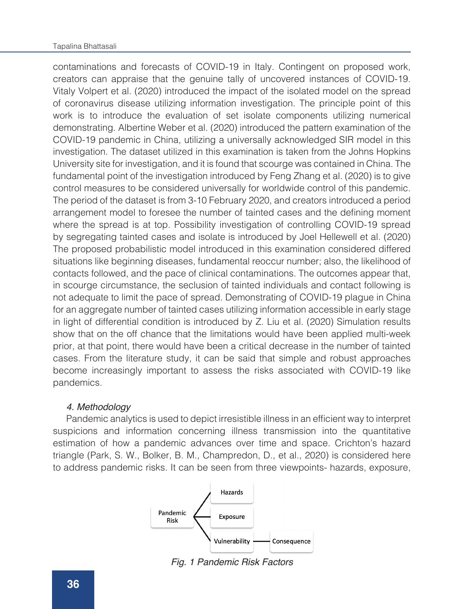contaminations and forecasts of COVID-19 in Italy. Contingent on proposed work, creators can appraise that the genuine tally of uncovered instances of COVID-19. Vitaly Volpert et al. (2020) introduced the impact of the isolated model on the spread of coronavirus disease utilizing information investigation. The principle point of this work is to introduce the evaluation of set isolate components utilizing numerical demonstrating. Albertine Weber et al. (2020) introduced the pattern examination of the COVID-19 pandemic in China, utilizing a universally acknowledged SIR model in this investigation. The dataset utilized in this examination is taken from the Johns Hopkins University site for investigation, and it is found that scourge was contained in China. The fundamental point of the investigation introduced by Feng Zhang et al. (2020) is to give control measures to be considered universally for worldwide control of this pandemic. The period of the dataset is from 3-10 February 2020, and creators introduced a period arrangement model to foresee the number of tainted cases and the defining moment where the spread is at top. Possibility investigation of controlling COVID-19 spread by segregating tainted cases and isolate is introduced by Joel Hellewell et al. (2020) The proposed probabilistic model introduced in this examination considered differed situations like beginning diseases, fundamental reoccur number; also, the likelihood of contacts followed, and the pace of clinical contaminations. The outcomes appear that, in scourge circumstance, the seclusion of tainted individuals and contact following is not adequate to limit the pace of spread. Demonstrating of COVID-19 plague in China for an aggregate number of tainted cases utilizing information accessible in early stage in light of differential condition is introduced by Z. Liu et al. (2020) Simulation results show that on the off chance that the limitations would have been applied multi-week prior, at that point, there would have been a critical decrease in the number of tainted cases. From the literature study, it can be said that simple and robust approaches become increasingly important to assess the risks associated with COVID-19 like pandemics.

### 4. Methodology

Pandemic analytics is used to depict irresistible illness in an efficient way to interpret suspicions and information concerning illness transmission into the quantitative estimation of how a pandemic advances over time and space. Crichton's hazard triangle (Park, S. W., Bolker, B. M., Champredon, D., et al., 2020) is considered here to address pandemic risks. It can be seen from three viewpoints- hazards, exposure,



Fig. 1 Pandemic Risk Factors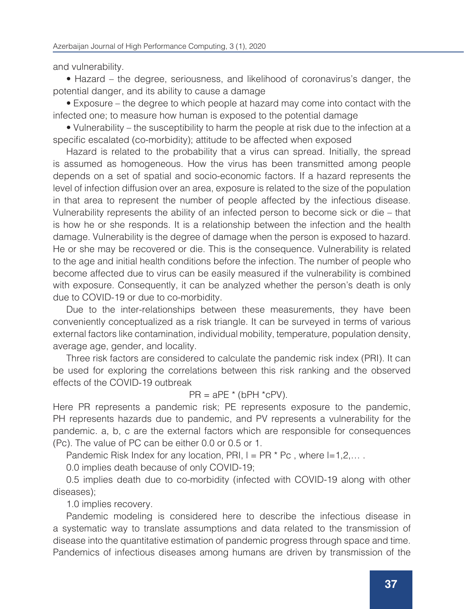and vulnerability.

• Hazard – the degree, seriousness, and likelihood of coronavirus's danger, the potential danger, and its ability to cause a damage

• Exposure – the degree to which people at hazard may come into contact with the infected one; to measure how human is exposed to the potential damage

• Vulnerability – the susceptibility to harm the people at risk due to the infection at a specific escalated (co-morbidity); attitude to be affected when exposed

Hazard is related to the probability that a virus can spread. Initially, the spread is assumed as homogeneous. How the virus has been transmitted among people depends on a set of spatial and socio-economic factors. If a hazard represents the level of infection diffusion over an area, exposure is related to the size of the population in that area to represent the number of people affected by the infectious disease. Vulnerability represents the ability of an infected person to become sick or die – that is how he or she responds. It is a relationship between the infection and the health damage. Vulnerability is the degree of damage when the person is exposed to hazard. He or she may be recovered or die. This is the consequence. Vulnerability is related to the age and initial health conditions before the infection. The number of people who become affected due to virus can be easily measured if the vulnerability is combined with exposure. Consequently, it can be analyzed whether the person's death is only due to COVID-19 or due to co-morbidity.

Due to the inter-relationships between these measurements, they have been conveniently conceptualized as a risk triangle. It can be surveyed in terms of various external factors like contamination, individual mobility, temperature, population density, average age, gender, and locality.

Three risk factors are considered to calculate the pandemic risk index (PRI). It can be used for exploring the correlations between this risk ranking and the observed effects of the COVID-19 outbreak

# $PR = aPE * (bPH *cPV)$ .

Here PR represents a pandemic risk; PE represents exposure to the pandemic, PH represents hazards due to pandemic, and PV represents a vulnerability for the pandemic. a, b, c are the external factors which are responsible for consequences (Pc). The value of PC can be either 0.0 or 0.5 or 1.

Pandemic Risk Index for any location, PRI,  $I = PR * Pc$ , where  $I = 1, 2, ...$ .

0.0 implies death because of only COVID-19;

0.5 implies death due to co-morbidity (infected with COVID-19 along with other diseases);

1.0 implies recovery.

Pandemic modeling is considered here to describe the infectious disease in a systematic way to translate assumptions and data related to the transmission of disease into the quantitative estimation of pandemic progress through space and time. Pandemics of infectious diseases among humans are driven by transmission of the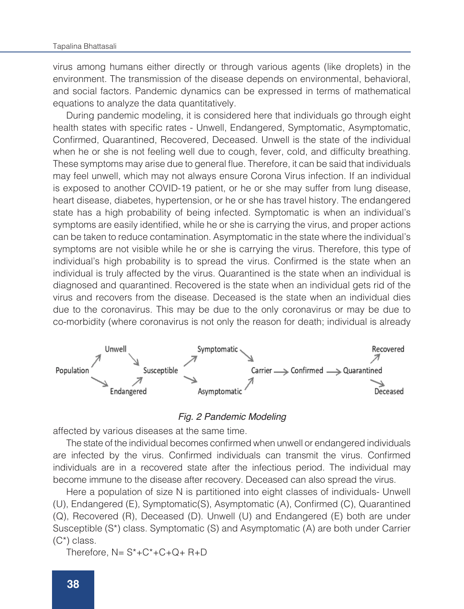virus among humans either directly or through various agents (like droplets) in the environment. The transmission of the disease depends on environmental, behavioral, and social factors. Pandemic dynamics can be expressed in terms of mathematical equations to analyze the data quantitatively.

During pandemic modeling, it is considered here that individuals go through eight health states with specific rates - Unwell, Endangered, Symptomatic, Asymptomatic, Confirmed, Quarantined, Recovered, Deceased. Unwell is the state of the individual when he or she is not feeling well due to cough, fever, cold, and difficulty breathing. These symptoms may arise due to general flue. Therefore, it can be said that individuals may feel unwell, which may not always ensure Corona Virus infection. If an individual is exposed to another COVID-19 patient, or he or she may suffer from lung disease, heart disease, diabetes, hypertension, or he or she has travel history. The endangered state has a high probability of being infected. Symptomatic is when an individual's symptoms are easily identified, while he or she is carrying the virus, and proper actions can be taken to reduce contamination. Asymptomatic in the state where the individual's symptoms are not visible while he or she is carrying the virus. Therefore, this type of individual's high probability is to spread the virus. Confirmed is the state when an individual is truly affected by the virus. Quarantined is the state when an individual is diagnosed and quarantined. Recovered is the state when an individual gets rid of the virus and recovers from the disease. Deceased is the state when an individual dies due to the coronavirus. This may be due to the only coronavirus or may be due to co-morbidity (where coronavirus is not only the reason for death; individual is already



#### Fig. 2 Pandemic Modeling

affected by various diseases at the same time.

The state of the individual becomes confirmed when unwell or endangered individuals are infected by the virus. Confirmed individuals can transmit the virus. Confirmed individuals are in a recovered state after the infectious period. The individual may become immune to the disease after recovery. Deceased can also spread the virus.

Here a population of size N is partitioned into eight classes of individuals- Unwell (U), Endangered (E), Symptomatic(S), Asymptomatic (A), Confirmed (C), Quarantined (Q), Recovered (R), Deceased (D). Unwell (U) and Endangered (E) both are under Susceptible (S\*) class. Symptomatic (S) and Asymptomatic (A) are both under Carrier (C\*) class.

Therefore,  $N = S^* + C^* + C + Q + R + D$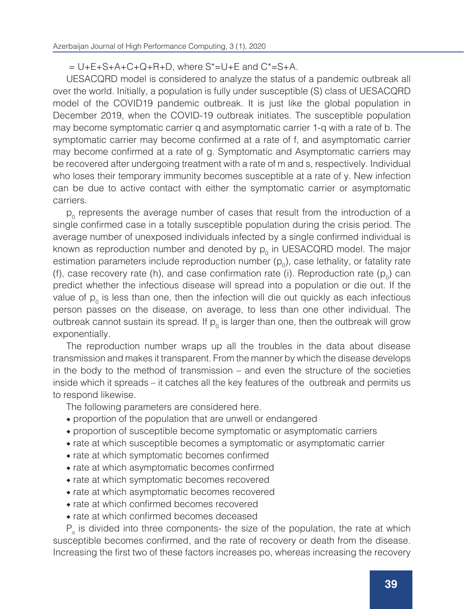$= U+E+S+A+C+Q+R+D$ , where  $S^*=U+E$  and  $C^*=S+A$ .

UESACQRD model is considered to analyze the status of a pandemic outbreak all over the world. Initially, a population is fully under susceptible (S) class of UESACQRD model of the COVID19 pandemic outbreak. It is just like the global population in December 2019, when the COVID-19 outbreak initiates. The susceptible population may become symptomatic carrier q and asymptomatic carrier 1-q with a rate of b. The symptomatic carrier may become confirmed at a rate of f, and asymptomatic carrier may become confirmed at a rate of g. Symptomatic and Asymptomatic carriers may be recovered after undergoing treatment with a rate of m and s, respectively. Individual who loses their temporary immunity becomes susceptible at a rate of y. New infection can be due to active contact with either the symptomatic carrier or asymptomatic carriers.

 $p_{0}$  represents the average number of cases that result from the introduction of a single confirmed case in a totally susceptible population during the crisis period. The average number of unexposed individuals infected by a single confirmed individual is known as reproduction number and denoted by  $p_{_0}$  in UESACQRD model. The major estimation parameters include reproduction number  $(p_0)$ , case lethality, or fatality rate (f), case recovery rate (h), and case confirmation rate (i). Reproduction rate  $(p_0)$  can predict whether the infectious disease will spread into a population or die out. If the value of  $p_{0}$  is less than one, then the infection will die out quickly as each infectious person passes on the disease, on average, to less than one other individual. The outbreak cannot sustain its spread. If  $p_{0}$  is larger than one, then the outbreak will grow exponentially.

The reproduction number wraps up all the troubles in the data about disease transmission and makes it transparent. From the manner by which the disease develops in the body to the method of transmission – and even the structure of the societies inside which it spreads – it catches all the key features of the outbreak and permits us to respond likewise.

The following parameters are considered here.

- ◆ proportion of the population that are unwell or endangered
- ◆ proportion of susceptible become symptomatic or asymptomatic carriers
- ◆ rate at which susceptible becomes a symptomatic or asymptomatic carrier
- ◆ rate at which symptomatic becomes confirmed
- ◆ rate at which asymptomatic becomes confirmed
- ◆ rate at which symptomatic becomes recovered
- ◆ rate at which asymptomatic becomes recovered
- ◆ rate at which confirmed becomes recovered
- ◆ rate at which confirmed becomes deceased

P<sub>o</sub> is divided into three components- the size of the population, the rate at which susceptible becomes confirmed, and the rate of recovery or death from the disease. Increasing the first two of these factors increases po, whereas increasing the recovery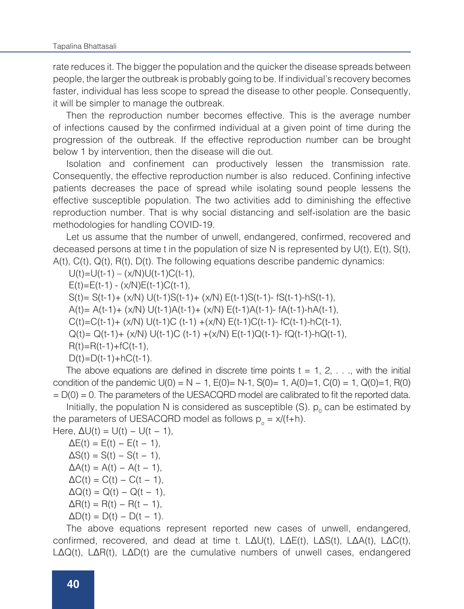rate reduces it. The bigger the population and the quicker the disease spreads between people, the larger the outbreak is probably going to be. If individual's recovery becomes faster, individual has less scope to spread the disease to other people. Consequently, it will be simpler to manage the outbreak.

Then the reproduction number becomes effective. This is the average number of infections caused by the confirmed individual at a given point of time during the progression of the outbreak. If the effective reproduction number can be brought below 1 by intervention, then the disease will die out.

Isolation and confinement can productively lessen the transmission rate. Consequently, the effective reproduction number is also reduced. Confining infective patients decreases the pace of spread while isolating sound people lessens the effective susceptible population. The two activities add to diminishing the effective reproduction number. That is why social distancing and self-isolation are the basic methodologies for handling COVID-19.

Let us assume that the number of unwell, endangered, confirmed, recovered and deceased persons at time t in the population of size N is represented by  $U(t)$ ,  $E(t)$ ,  $S(t)$ ,  $A(t)$ ,  $C(t)$ ,  $Q(t)$ ,  $R(t)$ ,  $D(t)$ . The following equations describe pandemic dynamics:

 $U(t)=U(t-1)-(x/N)U(t-1)C(t-1),$ 

 $E(t)=E(t-1) - (x/N)E(t-1)C(t-1),$ 

 $S(t) = S(t-1) + (x/N) U(t-1)S(t-1) + (x/N) E(t-1)S(t-1) - fS(t-1) - hS(t-1),$ 

 $A(t) = A(t-1) + (x/N) U(t-1)A(t-1) + (x/N) E(t-1)A(t-1) - fA(t-1) - hA(t-1),$ 

C(t)=C(t-1)+ (x/N) U(t-1)C (t-1) +(x/N) E(t-1)C(t-1)- fC(t-1)-hC(t-1),

 $Q(t) = Q(t-1) + (x/N) U(t-1)C (t-1) + (x/N) E(t-1)Q(t-1) - fQ(t-1) - hQ(t-1),$ 

 $R(t)=R(t-1)+fC(t-1)$ ,

 $D(t)=D(t-1)+hC(t-1)$ .

The above equations are defined in discrete time points  $t = 1, 2, \ldots$ , with the initial condition of the pandemic  $U(0) = N - 1$ ,  $E(0) = N-1$ ,  $S(0) = 1$ ,  $A(0)=1$ ,  $C(0) = 1$ ,  $Q(0)=1$ ,  $R(0)$  $= D(0) = 0$ . The parameters of the UESACQRD model are calibrated to fit the reported data.

Initially, the population N is considered as susceptible (S).  $p_0$  can be estimated by the parameters of UESACQRD model as follows  $p_{{}_{o}} = x/(f+h)$ .

Here,  $\Delta U(t) = U(t) - U(t - 1)$ ,  $\Delta E(t) = E(t) - E(t - 1),$ 

 $\Delta S(t) = S(t) - S(t - 1)$ ,  $\Delta A(t) = A(t) - A(t - 1),$  $\Delta C(t) = C(t) - C(t - 1)$ ,  $\Delta Q(t) = Q(t) - Q(t - 1),$  $\Delta R(t) = R(t) - R(t - 1),$ 

 $\Delta D(t) = D(t) - D(t - 1).$ 

The above equations represent reported new cases of unwell, endangered, confirmed, recovered, and dead at time t. LΔU(t), LΔE(t), LΔS(t), LΔA(t), LΔC(t), LΔQ(t), LΔR(t), LΔD(t) are the cumulative numbers of unwell cases, endangered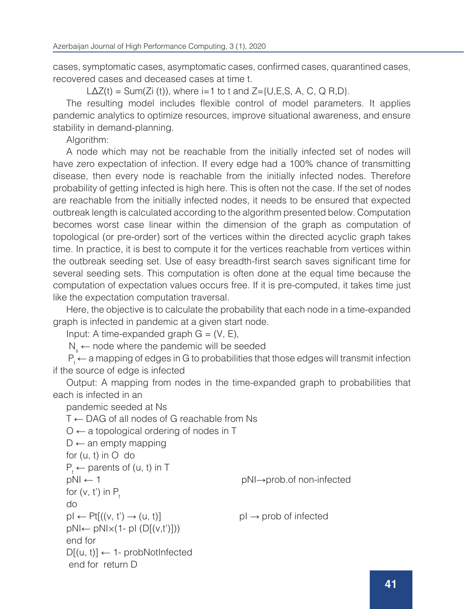cases, symptomatic cases, asymptomatic cases, confirmed cases, quarantined cases, recovered cases and deceased cases at time t.

 $L\Delta Z(t)$  = Sum(Zi (t)), where i=1 to t and Z={U,E,S, A, C, Q R,D}.

The resulting model includes flexible control of model parameters. It applies pandemic analytics to optimize resources, improve situational awareness, and ensure stability in demand-planning.

Algorithm:

A node which may not be reachable from the initially infected set of nodes will have zero expectation of infection. If every edge had a 100% chance of transmitting disease, then every node is reachable from the initially infected nodes. Therefore probability of getting infected is high here. This is often not the case. If the set of nodes are reachable from the initially infected nodes, it needs to be ensured that expected outbreak length is calculated according to the algorithm presented below. Computation becomes worst case linear within the dimension of the graph as computation of topological (or pre-order) sort of the vertices within the directed acyclic graph takes time. In practice, it is best to compute it for the vertices reachable from vertices within the outbreak seeding set. Use of easy breadth-first search saves significant time for several seeding sets. This computation is often done at the equal time because the computation of expectation values occurs free. If it is pre-computed, it takes time just like the expectation computation traversal.

Here, the objective is to calculate the probability that each node in a time-expanded graph is infected in pandemic at a given start node.

Input: A time-expanded graph  $G = (V, E)$ ,

 $N_s$  ← node where the pandemic will be seeded

 $P_{t} \leftarrow$  a mapping of edges in G to probabilities that those edges will transmit infection if the source of edge is infected

Output: A mapping from nodes in the time-expanded graph to probabilities that each is infected in an

pandemic seeded at Ns

```
T ← DAG of all nodes of G reachable from Ns 
O \leftarrow a topological ordering of nodes in T
D \leftarrow an empty mapping
for (u, t) in O do
P_{t} \leftarrow parents of (u, t) in T
pNI ← 1 pNI→prob.of non-infected
for (v, t') in P_tdo
p \mapsto P[f((v, t') \rightarrow (u, t)] pI \rightarrow prob of infected
pNl← pNl \times (1-pI(D[(v,t'))))end for 
D[(u, t)] \leftarrow 1- probNotInfected
 end for return D
```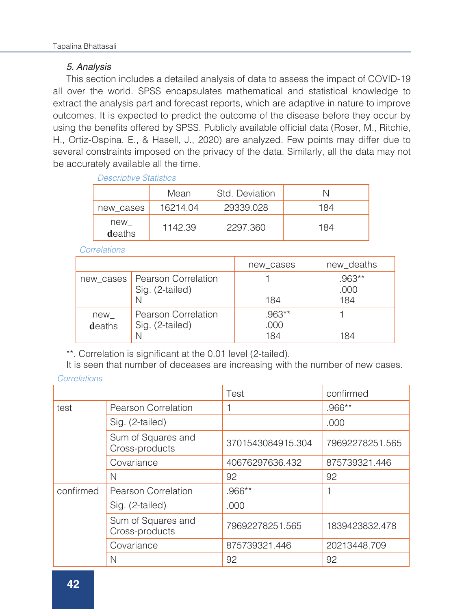# 5. Analysis

This section includes a detailed analysis of data to assess the impact of COVID-19 all over the world. SPSS encapsulates mathematical and statistical knowledge to extract the analysis part and forecast reports, which are adaptive in nature to improve outcomes. It is expected to predict the outcome of the disease before they occur by using the benefits offered by SPSS. Publicly available official data (Roser, M., Ritchie, H., Ortiz-Ospina, E., & Hasell, J., 2020) are analyzed. Few points may differ due to several constraints imposed on the privacy of the data. Similarly, all the data may not be accurately available all the time.

*Descriptive Statistics*

|               | Mean     | Std. Deviation |     |
|---------------|----------|----------------|-----|
| new cases     | 16214.04 | 29339.028      | 184 |
| new<br>deaths | 1142.39  | 2297.360       | 184 |

*Correlations*

|               |                                                    | new cases               | new_deaths              |  |  |
|---------------|----------------------------------------------------|-------------------------|-------------------------|--|--|
|               | new_cases   Pearson Correlation<br>Sig. (2-tailed) | 184                     | $.963**$<br>.000<br>184 |  |  |
| new<br>deaths | Pearson Correlation<br>Sig. (2-tailed)             | $.963**$<br>.000<br>184 | 184                     |  |  |

\*\*. Correlation is significant at the 0.01 level (2-tailed).

It is seen that number of deceases are increasing with the number of new cases. *Correlations*

|           |                                      | Test              | confirmed       |  |  |
|-----------|--------------------------------------|-------------------|-----------------|--|--|
| test      | Pearson Correlation                  | 1                 | $.966**$        |  |  |
|           | Sig. (2-tailed)                      |                   | .000            |  |  |
|           | Sum of Squares and<br>Cross-products | 3701543084915.304 | 79692278251.565 |  |  |
|           | Covariance                           | 40676297636.432   | 875739321.446   |  |  |
|           | N                                    | 92                | 92              |  |  |
| confirmed | Pearson Correlation                  | $.966**$          |                 |  |  |
|           | Sig. (2-tailed)                      | .000              |                 |  |  |
|           | Sum of Squares and<br>Cross-products | 79692278251.565   | 1839423832.478  |  |  |
|           | Covariance                           | 875739321.446     | 20213448.709    |  |  |
|           | N                                    | 92                | 92              |  |  |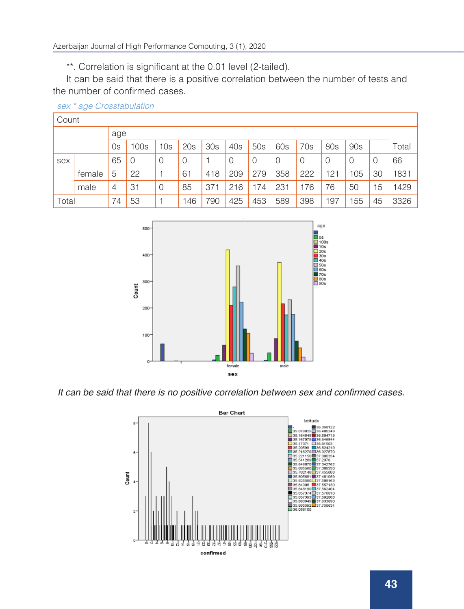\*\*. Correlation is significant at the 0.01 level (2-tailed).

It can be said that there is a positive correlation between the number of tests and the number of confirmed cases.

| Count |        |    |                |                |     |     |     |     |     |     |     |     |    |       |
|-------|--------|----|----------------|----------------|-----|-----|-----|-----|-----|-----|-----|-----|----|-------|
|       | age    |    |                |                |     |     |     |     |     |     |     |     |    |       |
|       |        | 0s | 100s           | 10s            | 20s | 30s | 40s | 50s | 60s | 70s | 80s | 90s |    | Total |
| sex   |        | 65 | $\overline{0}$ | 0              | 0   |     | 0   | 0   | 0   | 0   | 0   | 0   | 0  | 66    |
|       | female | 5  | 22             |                | 61  | 418 | 209 | 279 | 358 | 222 | 121 | 105 | 30 | 1831  |
|       | male   | 4  | 31             | $\overline{0}$ | 85  | 371 | 216 | 174 | 231 | 176 | 76  | 50  | 15 | 1429  |
| Total |        | 74 | 53             |                | 146 | 790 | 425 | 453 | 589 | 398 | 197 | 155 | 45 | 3326  |

# *sex \* age Crosstabulation*



It can be said that there is no positive correlation between sex and confirmed cases.

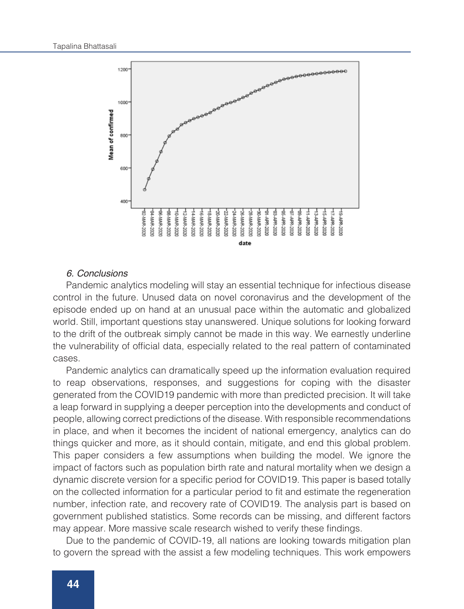

# 6. Conclusions

Pandemic analytics modeling will stay an essential technique for infectious disease control in the future. Unused data on novel coronavirus and the development of the episode ended up on hand at an unusual pace within the automatic and globalized world. Still, important questions stay unanswered. Unique solutions for looking forward to the drift of the outbreak simply cannot be made in this way. We earnestly underline the vulnerability of official data, especially related to the real pattern of contaminated cases.

Pandemic analytics can dramatically speed up the information evaluation required to reap observations, responses, and suggestions for coping with the disaster generated from the COVID19 pandemic with more than predicted precision. It will take a leap forward in supplying a deeper perception into the developments and conduct of people, allowing correct predictions of the disease. With responsible recommendations in place, and when it becomes the incident of national emergency, analytics can do things quicker and more, as it should contain, mitigate, and end this global problem. This paper considers a few assumptions when building the model. We ignore the impact of factors such as population birth rate and natural mortality when we design a dynamic discrete version for a specific period for COVID19. This paper is based totally on the collected information for a particular period to fit and estimate the regeneration number, infection rate, and recovery rate of COVID19. The analysis part is based on government published statistics. Some records can be missing, and different factors may appear. More massive scale research wished to verify these findings.

Due to the pandemic of COVID-19, all nations are looking towards mitigation plan to govern the spread with the assist a few modeling techniques. This work empowers